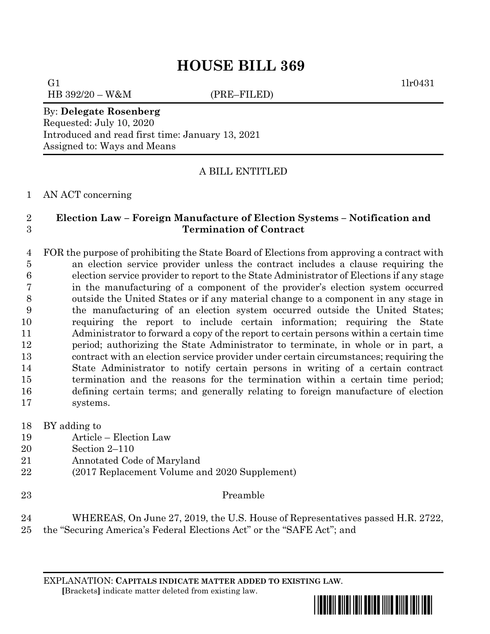## **HOUSE BILL 369**

G1  $1\text{lr0431}$ 

HB 392/20 – W&M (PRE–FILED)

By: **Delegate Rosenberg** Requested: July 10, 2020 Introduced and read first time: January 13, 2021 Assigned to: Ways and Means

## A BILL ENTITLED

AN ACT concerning

## **Election Law – Foreign Manufacture of Election Systems – Notification and Termination of Contract**

 FOR the purpose of prohibiting the State Board of Elections from approving a contract with an election service provider unless the contract includes a clause requiring the election service provider to report to the State Administrator of Elections if any stage in the manufacturing of a component of the provider's election system occurred outside the United States or if any material change to a component in any stage in the manufacturing of an election system occurred outside the United States; requiring the report to include certain information; requiring the State Administrator to forward a copy of the report to certain persons within a certain time period; authorizing the State Administrator to terminate, in whole or in part, a contract with an election service provider under certain circumstances; requiring the State Administrator to notify certain persons in writing of a certain contract termination and the reasons for the termination within a certain time period; defining certain terms; and generally relating to foreign manufacture of election systems.

- BY adding to
- Article Election Law
- Section 2–110
- Annotated Code of Maryland
- (2017 Replacement Volume and 2020 Supplement)
- Preamble

 WHEREAS, On June 27, 2019, the U.S. House of Representatives passed H.R. 2722, the "Securing America's Federal Elections Act" or the "SAFE Act"; and

EXPLANATION: **CAPITALS INDICATE MATTER ADDED TO EXISTING LAW**.  **[**Brackets**]** indicate matter deleted from existing law.

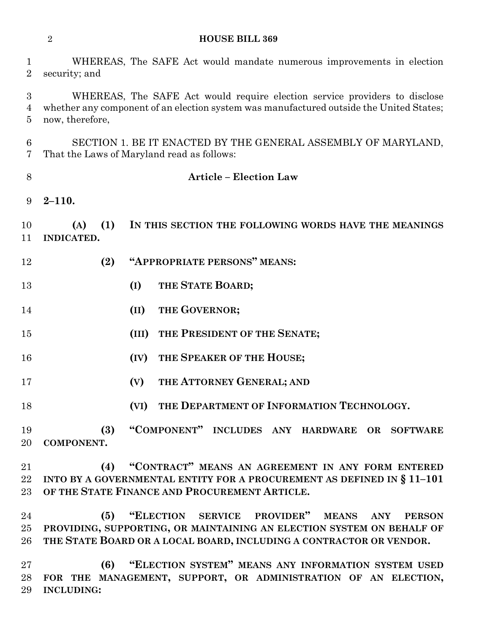## **HOUSE BILL 369**

| $\mathbf 1$<br>$\overline{2}$ | WHEREAS, The SAFE Act would mandate numerous improvements in election<br>security; and                                                                                                   |
|-------------------------------|------------------------------------------------------------------------------------------------------------------------------------------------------------------------------------------|
| 3<br>4<br>5                   | WHEREAS, The SAFE Act would require election service providers to disclose<br>whether any component of an election system was manufactured outside the United States;<br>now, therefore, |
| 6<br>7                        | SECTION 1. BE IT ENACTED BY THE GENERAL ASSEMBLY OF MARYLAND,<br>That the Laws of Maryland read as follows:                                                                              |
| $8\,$                         | <b>Article - Election Law</b>                                                                                                                                                            |
| 9                             | $2 - 110.$                                                                                                                                                                               |
| 10<br>11                      | (1)<br>IN THIS SECTION THE FOLLOWING WORDS HAVE THE MEANINGS<br>(A)<br><b>INDICATED.</b>                                                                                                 |
| 12                            | "APPROPRIATE PERSONS" MEANS:<br>(2)                                                                                                                                                      |
| 13                            | THE STATE BOARD;<br>(I)                                                                                                                                                                  |
| 14                            | THE GOVERNOR;<br>(II)                                                                                                                                                                    |
| 15                            | THE PRESIDENT OF THE SENATE;<br>(III)                                                                                                                                                    |
| 16                            | (IV)<br>THE SPEAKER OF THE HOUSE;                                                                                                                                                        |
| 17                            | THE ATTORNEY GENERAL; AND<br>(V)                                                                                                                                                         |
| 18                            | THE DEPARTMENT OF INFORMATION TECHNOLOGY.<br>(VI)                                                                                                                                        |
| 19                            | (3) "COMPONENT" INCLUDES ANY HARDWARE OR SOFTWARE                                                                                                                                        |
| $20\,$                        | COMPONENT.                                                                                                                                                                               |
| 21                            | (4) "CONTRACT" MEANS AN AGREEMENT IN ANY FORM ENTERED                                                                                                                                    |
| $22\,$                        | INTO BY A GOVERNMENTAL ENTITY FOR A PROCUREMENT AS DEFINED IN § 11-101                                                                                                                   |
| $23\,$                        | OF THE STATE FINANCE AND PROCUREMENT ARTICLE.                                                                                                                                            |
| $94-$                         | (5) "ELECTION SERVICE PROVIDER" MEANS ANY PERSON                                                                                                                                         |

 **(5) "ELECTION SERVICE PROVIDER" MEANS ANY PERSON PROVIDING, SUPPORTING, OR MAINTAINING AN ELECTION SYSTEM ON BEHALF OF THE STATE BOARD OR A LOCAL BOARD, INCLUDING A CONTRACTOR OR VENDOR.**

 **(6) "ELECTION SYSTEM" MEANS ANY INFORMATION SYSTEM USED FOR THE MANAGEMENT, SUPPORT, OR ADMINISTRATION OF AN ELECTION, INCLUDING:**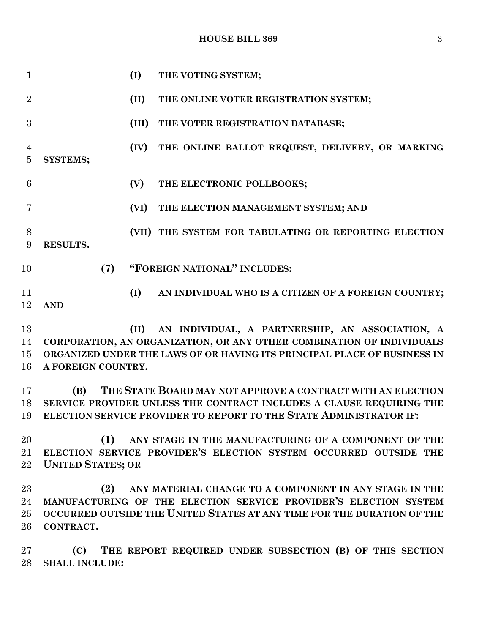**HOUSE BILL 369** 3

 **(I) THE VOTING SYSTEM; (II) THE ONLINE VOTER REGISTRATION SYSTEM; (III) THE VOTER REGISTRATION DATABASE; (IV) THE ONLINE BALLOT REQUEST, DELIVERY, OR MARKING SYSTEMS; (V) THE ELECTRONIC POLLBOOKS; (VI) THE ELECTION MANAGEMENT SYSTEM; AND (VII) THE SYSTEM FOR TABULATING OR REPORTING ELECTION RESULTS. (7) "FOREIGN NATIONAL" INCLUDES: (I) AN INDIVIDUAL WHO IS A CITIZEN OF A FOREIGN COUNTRY; AND (II) AN INDIVIDUAL, A PARTNERSHIP, AN ASSOCIATION, A CORPORATION, AN ORGANIZATION, OR ANY OTHER COMBINATION OF INDIVIDUALS ORGANIZED UNDER THE LAWS OF OR HAVING ITS PRINCIPAL PLACE OF BUSINESS IN A FOREIGN COUNTRY. (B) THE STATE BOARD MAY NOT APPROVE A CONTRACT WITH AN ELECTION SERVICE PROVIDER UNLESS THE CONTRACT INCLUDES A CLAUSE REQUIRING THE ELECTION SERVICE PROVIDER TO REPORT TO THE STATE ADMINISTRATOR IF: (1) ANY STAGE IN THE MANUFACTURING OF A COMPONENT OF THE** 

 **ELECTION SERVICE PROVIDER'S ELECTION SYSTEM OCCURRED OUTSIDE THE UNITED STATES; OR**

 **(2) ANY MATERIAL CHANGE TO A COMPONENT IN ANY STAGE IN THE MANUFACTURING OF THE ELECTION SERVICE PROVIDER'S ELECTION SYSTEM OCCURRED OUTSIDE THE UNITED STATES AT ANY TIME FOR THE DURATION OF THE CONTRACT.**

 **(C) THE REPORT REQUIRED UNDER SUBSECTION (B) OF THIS SECTION SHALL INCLUDE:**